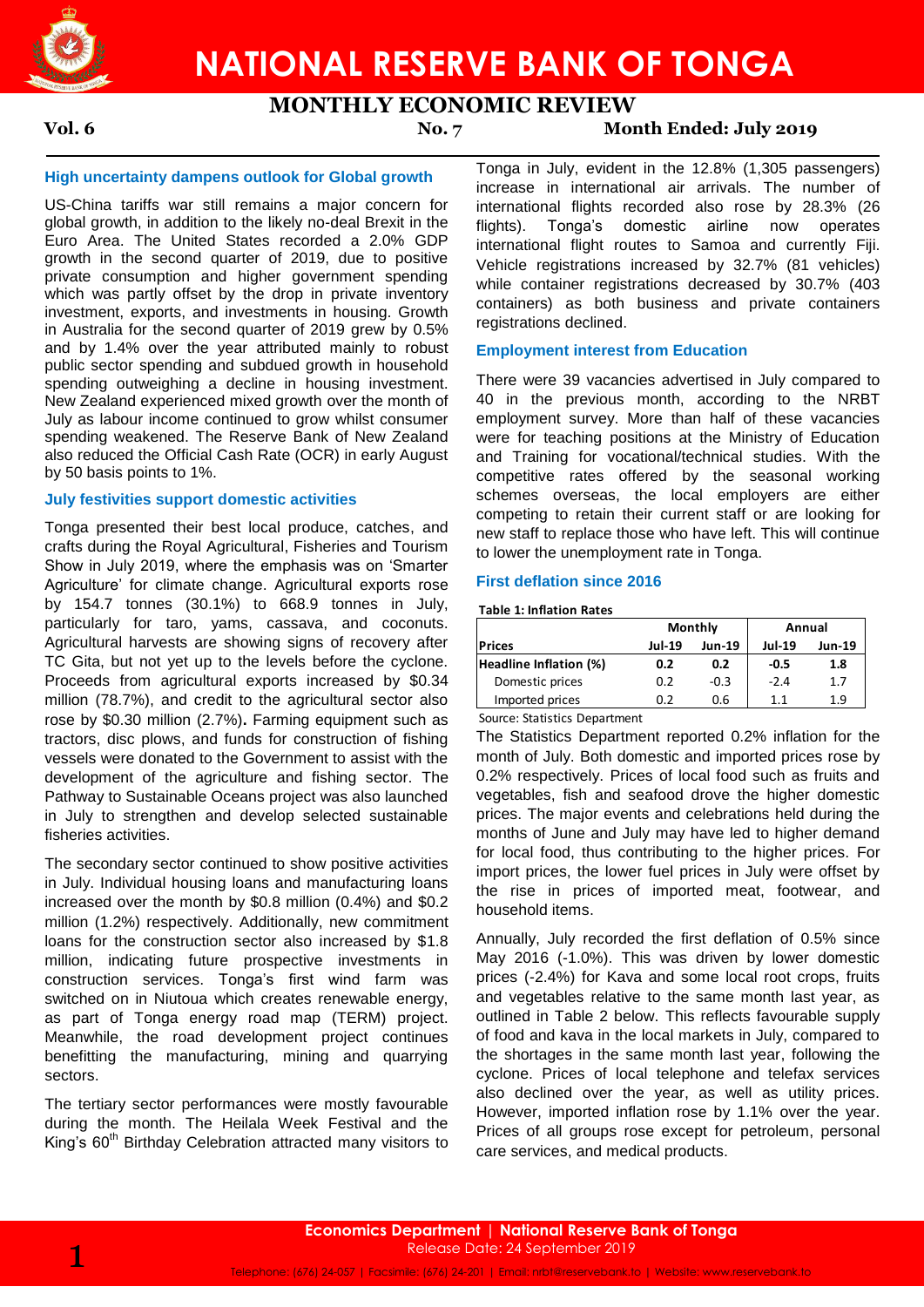

## **MONTHLY ECONOMIC REVIEW**

### **Vol. 6 No. 7 Month Ended: July 2019**

#### **High uncertainty dampens outlook for Global growth**

US-China tariffs war still remains a major concern for global growth, in addition to the likely no-deal Brexit in the Euro Area. The United States recorded a 2.0% GDP growth in the second quarter of 2019, due to positive private consumption and higher government spending which was partly offset by the drop in private inventory investment, exports, and investments in housing. Growth in Australia for the second quarter of 2019 grew by 0.5% and by 1.4% over the year attributed mainly to robust public sector spending and subdued growth in household spending outweighing a decline in housing investment. New Zealand experienced mixed growth over the month of July as labour income continued to grow whilst consumer spending weakened. The Reserve Bank of New Zealand also reduced the Official Cash Rate (OCR) in early August by 50 basis points to 1%.

#### **July festivities support domestic activities**

Tonga presented their best local produce, catches, and crafts during the Royal Agricultural, Fisheries and Tourism Show in July 2019, where the emphasis was on 'Smarter Agriculture' for climate change. Agricultural exports rose by 154.7 tonnes (30.1%) to 668.9 tonnes in July, particularly for taro, yams, cassava, and coconuts. Agricultural harvests are showing signs of recovery after TC Gita, but not yet up to the levels before the cyclone. Proceeds from agricultural exports increased by \$0.34 million (78.7%), and credit to the agricultural sector also rose by \$0.30 million (2.7%)**.** Farming equipment such as tractors, disc plows, and funds for construction of fishing vessels were donated to the Government to assist with the development of the agriculture and fishing sector. The Pathway to Sustainable Oceans project was also launched in July to strengthen and develop selected sustainable fisheries activities.

The secondary sector continued to show positive activities in July. Individual housing loans and manufacturing loans increased over the month by \$0.8 million (0.4%) and \$0.2 million (1.2%) respectively. Additionally, new commitment loans for the construction sector also increased by \$1.8 million, indicating future prospective investments in construction services. Tonga's first wind farm was switched on in Niutoua which creates renewable energy, as part of Tonga energy road map (TERM) project. Meanwhile, the road development project continues benefitting the manufacturing, mining and quarrying sectors.

The tertiary sector performances were mostly favourable during the month. The Heilala Week Festival and the King's 60<sup>th</sup> Birthday Celebration attracted many visitors to Tonga in July, evident in the 12.8% (1,305 passengers) increase in international air arrivals. The number of international flights recorded also rose by 28.3% (26 flights). Tonga's domestic airline now operates international flight routes to Samoa and currently Fiji. Vehicle registrations increased by 32.7% (81 vehicles) while container registrations decreased by 30.7% (403 containers) as both business and private containers registrations declined.

#### **Employment interest from Education**

There were 39 vacancies advertised in July compared to 40 in the previous month, according to the NRBT employment survey. More than half of these vacancies were for teaching positions at the Ministry of Education and Training for vocational/technical studies. With the competitive rates offered by the seasonal working schemes overseas, the local employers are either competing to retain their current staff or are looking for new staff to replace those who have left. This will continue to lower the unemployment rate in Tonga.

#### **First deflation since 2016**

**Table 1: Inflation Rates**

|                        |               | <b>Monthly</b> | Annual        |               |  |
|------------------------|---------------|----------------|---------------|---------------|--|
| <b>Prices</b>          | <b>Jul-19</b> | <b>Jun-19</b>  | <b>Jul-19</b> | <b>Jun-19</b> |  |
| Headline Inflation (%) | 0.2           | 0.2            | $-0.5$        | 1.8           |  |
| Domestic prices        | 0.2           | $-0.3$         | $-2.4$        | 1.7           |  |
| Imported prices        | 0.2           | 0.6            | 1.1           | 1.9           |  |

Source: Statistics Department

The Statistics Department reported 0.2% inflation for the month of July. Both domestic and imported prices rose by 0.2% respectively. Prices of local food such as fruits and vegetables, fish and seafood drove the higher domestic prices. The major events and celebrations held during the months of June and July may have led to higher demand for local food, thus contributing to the higher prices. For import prices, the lower fuel prices in July were offset by the rise in prices of imported meat, footwear, and household items.

Annually, July recorded the first deflation of 0.5% since May 2016 (-1.0%). This was driven by lower domestic prices (-2.4%) for Kava and some local root crops, fruits and vegetables relative to the same month last year, as outlined in Table 2 below. This reflects favourable supply of food and kava in the local markets in July, compared to the shortages in the same month last year, following the cyclone. Prices of local telephone and telefax services also declined over the year, as well as utility prices. However, imported inflation rose by 1.1% over the year. Prices of all groups rose except for petroleum, personal care services, and medical products.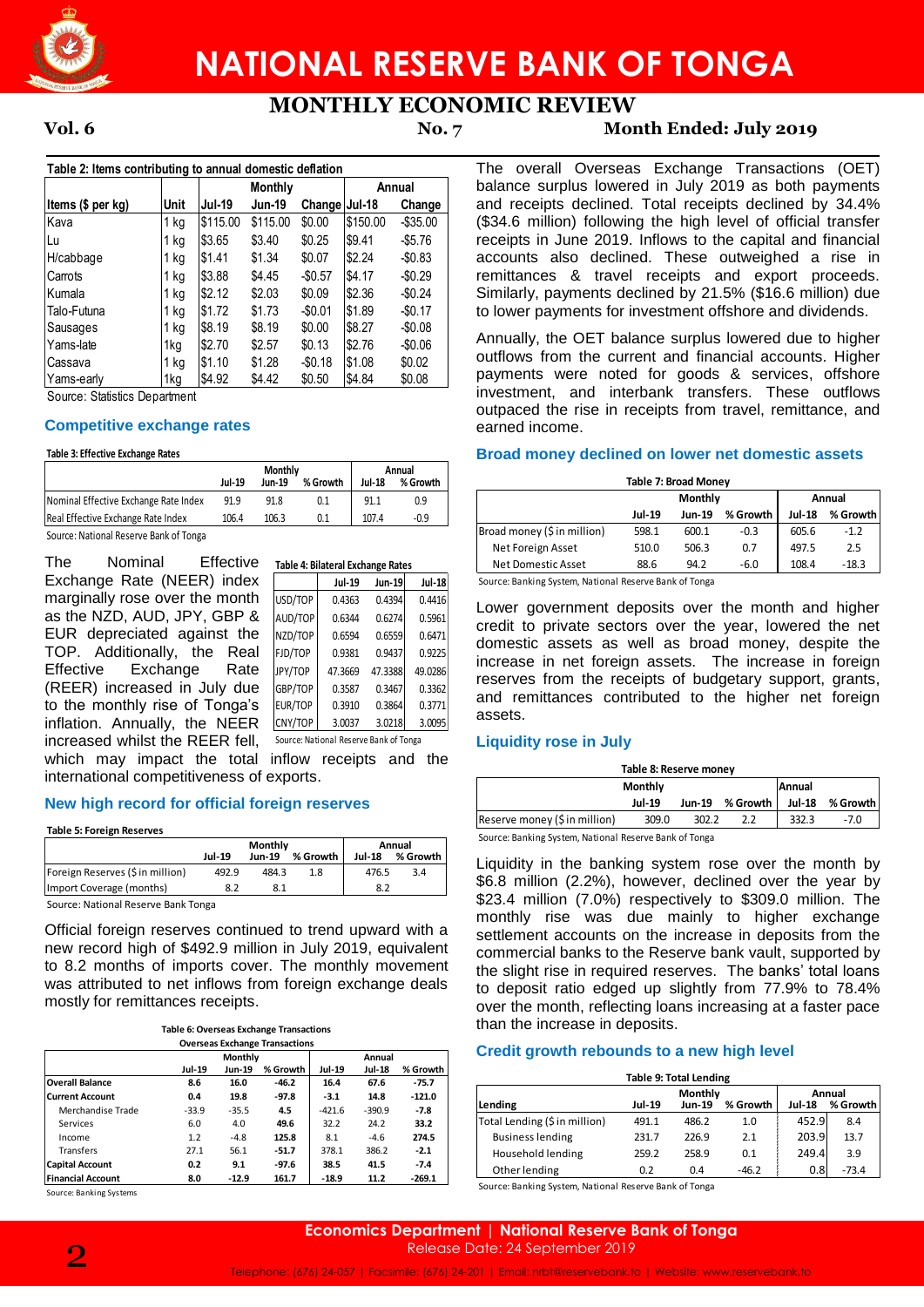

## **NATIONAL RESERVE BANK OF TONGA**

# **MONTHLY ECONOMIC REVIEW**

### **Vol. 6 No. 7 Month Ended: July 2019**

**Table 2: Items contributing to annual domestic deflation Items (\$ per kg) Unit Jul-19 Jun-19 Change Jul-18 Change** Kava 1 kg \$115.00 \$115.00 \$0.00 \$150.00 -\$35.00 Lu 1 kg \$3.65 \$3.40 \$0.25 \$9.41 -\$5.76 H/cabbage 1 kg \$1.41 \$1.34 \$0.07 \$2.24 -\$0.83 Carrots 1 kg \$3.88 \$4.45 -\$0.57 \$4.17 -\$0.29 Kumala 1 kg \$2.12 \$2.03 \$0.09 \$2.36 -\$0.24 Talo-Futuna 1 kg \$1.72 \$1.73 -\$0.01 \$1.89 -\$0.17 Sausages 1 kg \$8.19 \$8.19 \$0.00 \$8.27 -\$0.08 Yams-late 1kg \$2.70 \$2.57 \$0.13 \$2.76 -\$0.06 Cassava 1 kg \$1.10 \$1.28 -\$0.18 \$1.08 \$0.02 Yams-early 1kg \$4.92 \$4.42 \$0.50 \$4.84 \$0.08 **Monthly Annual** 

Source: Statistics Department

#### **Competitive exchange rates**

#### **Table 3: Effective Exchange Rates**

|                                        |        | <b>Monthly</b> | Annual   |               |          |
|----------------------------------------|--------|----------------|----------|---------------|----------|
|                                        | Jul-19 | Jun-19         | % Growth | <b>Jul-18</b> | % Growth |
| Nominal Effective Exchange Rate Index  | 91.9   | 91.8           | 0.1      | 91.1          | 0.9      |
| Real Effective Exchange Rate Index     | 106.4  | 106.3          | 0.1      | 107.4         | -0.9     |
| Source: National Reserve Bank of Tonga |        |                |          |               |          |

|                                                             | <b>Jul-19</b>                           | Jun-19                   | % Growth | <b>Jul-18</b>                          | % Growth                | <b>Table 7: Broad Money</b>                            |
|-------------------------------------------------------------|-----------------------------------------|--------------------------|----------|----------------------------------------|-------------------------|--------------------------------------------------------|
| Nominal Effective Exchange Rate Index                       | 91.9                                    | 91.8                     | 0.1      | 91.1                                   | 0.9                     | <b>Monthly</b>                                         |
| Real Effective Exchange Rate Index                          | 106.4                                   | 106.3                    | 0.1      | 107.4                                  | $-0.9$                  | Jul-19<br>Jun-19 %                                     |
| Source: National Reserve Bank of Tonga                      |                                         |                          |          |                                        |                         | Broad money (\$ in million)<br>598.1<br>600.1          |
|                                                             |                                         |                          |          |                                        |                         | 506.3<br>Net Foreign Asset<br>510.0                    |
| Nominal<br>The                                              | Effective                               |                          |          | Table 4: Bilateral Exchange Rates      |                         | <b>Net Domestic Asset</b><br>88.6<br>94.2              |
| Exchange Rate (NEER) index                                  |                                         |                          | Jul-19   | Jun-19                                 | <b>Jul-18</b>           | Source: Banking System, National Reserve Bank of Tonga |
| marginally rose over the month                              |                                         | USD/TOP                  | 0.4363   | 0.4394                                 | 0.4416                  | Lower government deposits over the                     |
| as the NZD, AUD, JPY, GBP &                                 |                                         | AUD/TOP                  | 0.6344   | 0.6274                                 | 0.5961                  | credit to private sectors over the y                   |
| EUR depreciated against the                                 |                                         | NZD/TOP                  | 0.6594   | 0.6559                                 | 0.6471                  | domestic assets as well as broad                       |
| TOP. Additionally, the Real                                 |                                         | FJD/TOP                  | 0.9381   | 0.9437                                 | 0.9225                  | increase in net foreign assets. The                    |
| Effective<br>Exchange                                       | Rate                                    | JPY/TOP                  | 47.3669  | 47.3388                                | 49.0286                 | reserves from the receipts of budge                    |
| (REER) increased in July due                                |                                         | GBP/TOP                  | 0.3587   | 0.3467                                 | 0.3362                  | and remittances contributed to the                     |
| to the monthly rise of Tonga's                              |                                         | EUR/TOP                  | 0.3910   | 0.3864                                 | 0.3771                  |                                                        |
| inflation. Annually, the NEER                               |                                         | CNY/TOP                  | 3.0037   | 3.0218                                 | 3.0095                  | assets.                                                |
| increased whilst the REER fell,                             |                                         |                          |          | Source: National Reserve Bank of Tonga |                         | <b>Liquidity rose in July</b>                          |
| which may impact the total                                  |                                         |                          |          |                                        | inflow receipts and the |                                                        |
| international competitiveness of exports.                   |                                         |                          |          |                                        |                         | Table 8: Reserve money                                 |
|                                                             |                                         |                          |          |                                        |                         | Monthly<br>Jun-19 %<br><b>Jul-19</b>                   |
| New high record for official foreign reserves               |                                         |                          |          |                                        |                         | Reserve money (\$ in million)<br>309.0<br>302.2        |
| <b>Table 5: Foreign Reserves</b>                            |                                         |                          |          |                                        |                         | Source: Banking System, National Reserve Bank of Tonga |
|                                                             |                                         | Monthly                  |          | Annual                                 |                         |                                                        |
| Foreign Reserves (\$ in million)                            | <b>Jul-19</b><br>492.9                  | Jun-19 % Growth<br>484.3 | 1.8      | <b>Jul-18</b><br>476.5                 | % Growth<br>3.4         | Liquidity in the banking system rose                   |
| Import Coverage (months)                                    | 8.2                                     | 8.1                      |          | 8.2                                    |                         | \$6.8 million (2.2%), however, declin                  |
| Source: National Reserve Bank Tonga                         |                                         |                          |          |                                        |                         | \$23.4 million (7.0%) respectively to                  |
|                                                             |                                         |                          |          |                                        |                         | monthly rise was due mainly t                          |
| Official foreign reserves continued to trend upward with a  |                                         |                          |          |                                        |                         | settlement accounts on the increase                    |
| new record high of \$492.9 million in July 2019, equivalent |                                         |                          |          |                                        |                         | commercial banks to the Reserve bar                    |
| to 8.2 months of imports cover. The monthly movement        |                                         |                          |          |                                        |                         | the slight rise in required reserves.                  |
| was attributed to net inflows from foreign exchange deals   |                                         |                          |          |                                        |                         | to deposit ratio edged up slightly fi                  |
| mostly for remittances receipts.                            |                                         |                          |          |                                        |                         | over the month, reflecting loans incre                 |
|                                                             | Table 6: Overseas Exchange Transactions |                          |          |                                        |                         | than the increase in deposits.                         |
|                                                             |                                         |                          |          |                                        |                         |                                                        |

#### **New high record for official foreign reserves**

|                                      |               | Monthly       | Annual   |               |          |
|--------------------------------------|---------------|---------------|----------|---------------|----------|
|                                      | <b>Jul-19</b> | <b>Jun-19</b> | % Growth | <b>Jul-18</b> | % Growth |
| Foreign Reserves (\$ in million)     | 492.9         | 484.3         | 1.8      | 476.5         | 3.4      |
| Import Coverage (months)             |               | 8.1           |          | 8.2           |          |
| Course: Notional Desemio Depli Tengo |               |               |          |               |          |

|  | Table 6: Overseas Exchange Transactions |  |  |  |
|--|-----------------------------------------|--|--|--|
|  | Overseas Exchange Transactions          |  |  |  |

|                          |         | Monthly       | Annual   |          |               |          |  |  |
|--------------------------|---------|---------------|----------|----------|---------------|----------|--|--|
|                          | Jul-19  | <b>Jun-19</b> | % Growth | Jul-19   | <b>Jul-18</b> | % Growth |  |  |
| <b>Overall Balance</b>   | 8.6     | 16.0          | $-46.2$  | 16.4     | 67.6          | $-75.7$  |  |  |
| <b>Current Account</b>   | 0.4     | 19.8          | $-97.8$  | $-3.1$   | 14.8          | $-121.0$ |  |  |
| Merchandise Trade        | $-33.9$ | $-35.5$       | 4.5      | $-421.6$ | $-390.9$      | $-7.8$   |  |  |
| Services                 | 6.0     | 4.0           | 49.6     | 32.2     | 24.2          | 33.2     |  |  |
| Income                   | 1.2     | $-4.8$        | 125.8    | 8.1      | $-4.6$        | 274.5    |  |  |
| Transfers                | 27.1    | 56.1          | $-51.7$  | 378.1    | 386.2         | $-2.1$   |  |  |
| <b>Capital Account</b>   | 0.2     | 9.1           | $-97.6$  | 38.5     | 41.5          | $-7.4$   |  |  |
| <b>Financial Account</b> | 8.0     | $-12.9$       | 161.7    | $-18.9$  | 11.2          | $-269.1$ |  |  |

Source: Banking Systems

The overall Overseas Exchange Transactions (OET) balance surplus lowered in July 2019 as both payments and receipts declined. Total receipts declined by 34.4% (\$34.6 million) following the high level of official transfer receipts in June 2019. Inflows to the capital and financial accounts also declined. These outweighed a rise in remittances & travel receipts and export proceeds. Similarly, payments declined by 21.5% (\$16.6 million) due to lower payments for investment offshore and dividends.

Annually, the OET balance surplus lowered due to higher outflows from the current and financial accounts. Higher payments were noted for goods & services, offshore investment, and interbank transfers. These outflows outpaced the rise in receipts from travel, remittance, and earned income.

#### **Broad money declined on lower net domestic assets**

| Table 7: Broad Money        |               |               |          |               |          |  |  |  |
|-----------------------------|---------------|---------------|----------|---------------|----------|--|--|--|
|                             |               | Monthly       | Annual   |               |          |  |  |  |
|                             | <b>Jul-19</b> | <b>Jun-19</b> | % Growth | <b>Jul-18</b> | % Growth |  |  |  |
| Broad money (\$ in million) | 598.1         | 600.1         | $-0.3$   | 605.6         | $-1.2$   |  |  |  |
| Net Foreign Asset           | 510.0         | 506.3         | 0.7      | 497.5         | 2.5      |  |  |  |
| Net Domestic Asset          | 88.6          | 94.2          | $-6.0$   | 108.4         | $-18.3$  |  |  |  |

Lower government deposits over the month and higher credit to private sectors over the year, lowered the net domestic assets as well as broad money, despite the increase in net foreign assets. The increase in foreign reserves from the receipts of budgetary support, grants, and remittances contributed to the higher net foreign assets.

#### **Liquidity rose in July**

| Table 8: Reserve money        |         |       |                 |               |          |  |  |  |
|-------------------------------|---------|-------|-----------------|---------------|----------|--|--|--|
|                               | Monthly |       |                 | Annual        |          |  |  |  |
|                               | Jul-19  |       | Jun-19 % Growth | <b>Jul-18</b> | % Growth |  |  |  |
| Reserve money (\$ in million) | 309.0   | 302.2 |                 | 332.3         | $-7.0$   |  |  |  |
| .                             |         |       |                 |               |          |  |  |  |

Liquidity in the banking system rose over the month by \$6.8 million (2.2%), however, declined over the year by \$23.4 million (7.0%) respectively to \$309.0 million. The monthly rise was due mainly to higher exchange settlement accounts on the increase in deposits from the commercial banks to the Reserve bank vault, supported by the slight rise in required reserves. The banks' total loans to deposit ratio edged up slightly from 77.9% to 78.4% over the month, reflecting loans increasing at a faster pace than the increase in deposits.

#### **Credit growth rebounds to a new high level**

| <b>Table 9: Total Lending</b> |               |               |          |               |          |  |  |  |
|-------------------------------|---------------|---------------|----------|---------------|----------|--|--|--|
|                               | Monthly       |               |          | Annual        |          |  |  |  |
| Lending                       | <b>Jul-19</b> | <b>Jun-19</b> | % Growth | <b>Jul-18</b> | % Growth |  |  |  |
| Total Lending (\$ in million) | 491.1         | 486.2         | 1.0      | 452.9         | 8.4      |  |  |  |
| <b>Business lending</b>       | 231.7         | 226.9         | 2.1      | 203.9         | 13.7     |  |  |  |
| Household lending             | 259.2         | 258.9         | 0.1      | 249.4         | 3.9      |  |  |  |
| Other lending                 | 0.2           | 0.4           | $-46.2$  | 0.8           | $-73.4$  |  |  |  |

Source: Banking System, National Reserve Bank of Tonga